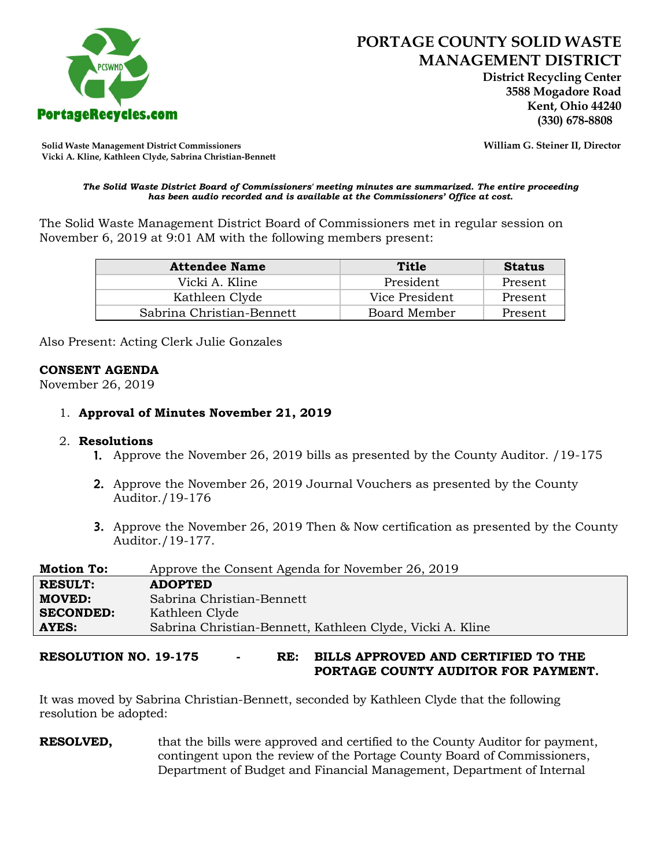

 **District Recycling Center 3588 Mogadore Road Kent, Ohio 44240**

**Solid Waste Management District Commissioners William G. Steiner II, Director Vicki A. Kline, Kathleen Clyde, Sabrina Christian-Bennett** 

#### *The Solid Waste District Board of Commissioners' meeting minutes are summarized. The entire proceeding has been audio recorded and is available at the Commissioners' Office at cost.*

The Solid Waste Management District Board of Commissioners met in regular session on November 6, 2019 at 9:01 AM with the following members present:

| <b>Attendee Name</b>      | Title          | <b>Status</b> |
|---------------------------|----------------|---------------|
| Vicki A. Kline            | President      | Present       |
| Kathleen Clyde            | Vice President | Present       |
| Sabrina Christian-Bennett | Board Member   | Present       |

Also Present: Acting Clerk Julie Gonzales

## **CONSENT AGENDA**

November 26, 2019

## 1. **Approval of Minutes November 21, 2019**

#### 2. **Resolutions**

- 1. Approve the November 26, 2019 bills as presented by the County Auditor. /19-175
- 2. Approve the November 26, 2019 Journal Vouchers as presented by the County Auditor./19-176
- 3. Approve the November 26, 2019 Then & Now certification as presented by the County Auditor./19-177.

| <b>Motion To:</b> | Approve the Consent Agenda for November 26, 2019          |  |
|-------------------|-----------------------------------------------------------|--|
| <b>RESULT:</b>    | <b>ADOPTED</b>                                            |  |
| <b>MOVED:</b>     | Sabrina Christian-Bennett                                 |  |
| <b>SECONDED:</b>  | Kathleen Clyde                                            |  |
| AYES:             | Sabrina Christian-Bennett, Kathleen Clyde, Vicki A. Kline |  |

**RESOLUTION NO. 19-175 - RE: BILLS APPROVED AND CERTIFIED TO THE PORTAGE COUNTY AUDITOR FOR PAYMENT.** 

It was moved by Sabrina Christian-Bennett, seconded by Kathleen Clyde that the following resolution be adopted:

**RESOLVED,** that the bills were approved and certified to the County Auditor for payment, contingent upon the review of the Portage County Board of Commissioners, Department of Budget and Financial Management, Department of Internal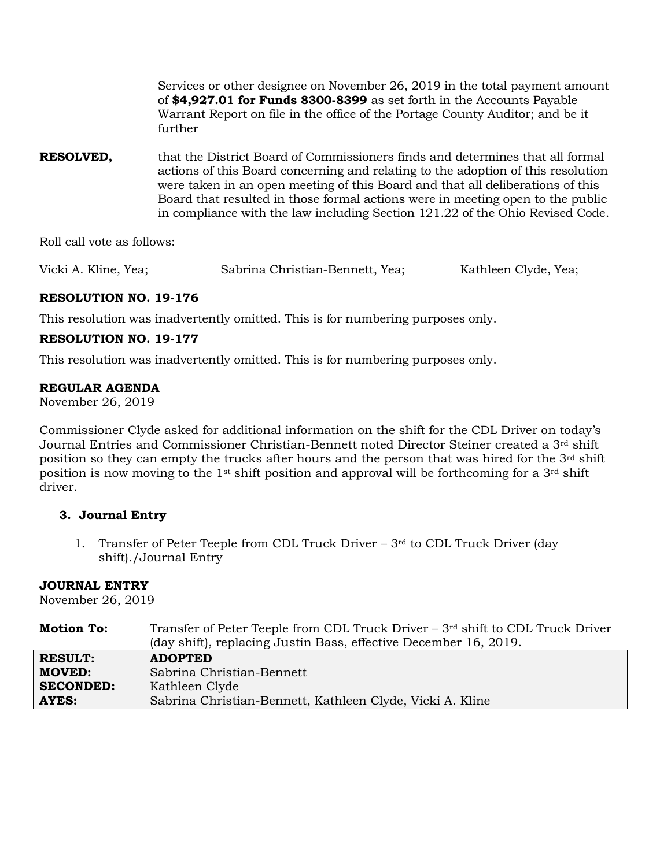Services or other designee on November 26, 2019 in the total payment amount of **\$4,927.01 for Funds 8300-8399** as set forth in the Accounts Payable Warrant Report on file in the office of the Portage County Auditor; and be it further

**RESOLVED,** that the District Board of Commissioners finds and determines that all formal actions of this Board concerning and relating to the adoption of this resolution were taken in an open meeting of this Board and that all deliberations of this Board that resulted in those formal actions were in meeting open to the public in compliance with the law including Section 121.22 of the Ohio Revised Code.

Roll call vote as follows:

Vicki A. Kline, Yea; Sabrina Christian-Bennett, Yea; Kathleen Clyde, Yea;

# **RESOLUTION NO. 19-176**

This resolution was inadvertently omitted. This is for numbering purposes only.

# **RESOLUTION NO. 19-177**

This resolution was inadvertently omitted. This is for numbering purposes only.

## **REGULAR AGENDA**

November 26, 2019

Commissioner Clyde asked for additional information on the shift for the CDL Driver on today's Journal Entries and Commissioner Christian-Bennett noted Director Steiner created a 3rd shift position so they can empty the trucks after hours and the person that was hired for the  $3<sup>rd</sup>$  shift position is now moving to the 1st shift position and approval will be forthcoming for a 3rd shift driver.

# **3. Journal Entry**

1. Transfer of Peter Teeple from CDL Truck Driver –  $3<sup>rd</sup>$  to CDL Truck Driver (day shift)./Journal Entry

#### **JOURNAL ENTRY**

November 26, 2019

| <b>Motion To:</b> | Transfer of Peter Teeple from CDL Truck Driver $-3rd$ shift to CDL Truck Driver |
|-------------------|---------------------------------------------------------------------------------|
|                   | (day shift), replacing Justin Bass, effective December 16, 2019.                |
| <b>RESULT:</b>    | <b>ADOPTED</b>                                                                  |
| <b>MOVED:</b>     | Sabrina Christian-Bennett                                                       |
| <b>SECONDED:</b>  | Kathleen Clyde                                                                  |
| <b>AYES:</b>      | Sabrina Christian-Bennett, Kathleen Clyde, Vicki A. Kline                       |